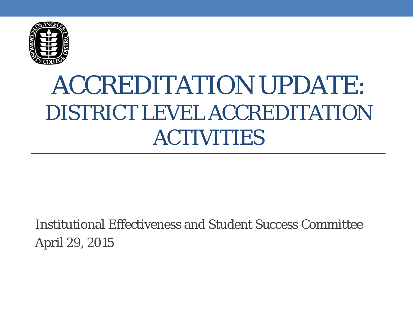

## ACCREDITATION UPDATE: DISTRICT LEVEL ACCREDITATION ACTIVITIES

Institutional Effectiveness and Student Success Committee April 29, 2015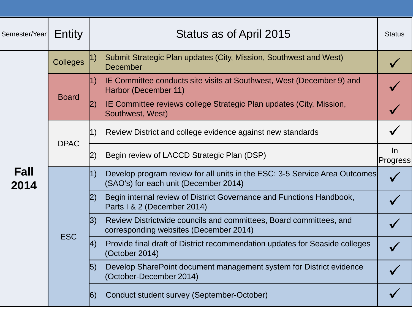| Semester/Year | Entity          | Status as of April 2015                                                                                                   | <b>Status</b>            |
|---------------|-----------------|---------------------------------------------------------------------------------------------------------------------------|--------------------------|
| Fall<br>2014  | <b>Colleges</b> | 1)<br>Submit Strategic Plan updates (City, Mission, Southwest and West)<br><b>December</b>                                |                          |
|               | <b>Board</b>    | IE Committee conducts site visits at Southwest, West (December 9) and<br> 1)<br>Harbor (December 11)                      |                          |
|               |                 | IE Committee reviews college Strategic Plan updates (City, Mission,<br> 2)<br>Southwest, West)                            |                          |
|               | <b>DPAC</b>     | 1)<br>Review District and college evidence against new standards                                                          |                          |
|               |                 | Begin review of LACCD Strategic Plan (DSP)<br> 2)                                                                         | $\ln$<br><b>Progress</b> |
|               | <b>ESC</b>      | 1)<br>Develop program review for all units in the ESC: 3-5 Service Area Outcomes<br>(SAO's) for each unit (December 2014) |                          |
|               |                 | Begin internal review of District Governance and Functions Handbook,<br> 2)<br>Parts I & 2 (December 2014)                |                          |
|               |                 | 3)<br>Review Districtwide councils and committees, Board committees, and<br>corresponding websites (December 2014)        |                          |
|               |                 | Provide final draft of District recommendation updates for Seaside colleges<br> 4)<br>(October 2014)                      |                          |
|               |                 | Develop SharePoint document management system for District evidence<br> 5)<br>(October-December 2014)                     |                          |
|               |                 | Conduct student survey (September-October)<br> 6)                                                                         |                          |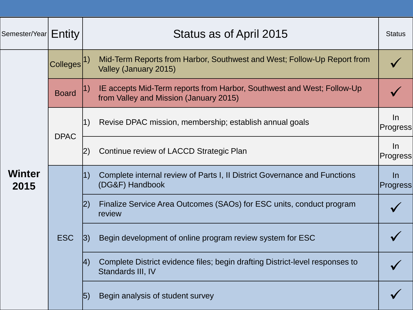| Semester/Year         | Entity          | Status as of April 2015                                                                                          | <b>Status</b>     |
|-----------------------|-----------------|------------------------------------------------------------------------------------------------------------------|-------------------|
| <b>Winter</b><br>2015 | <b>Colleges</b> | Mid-Term Reports from Harbor, Southwest and West; Follow-Up Report from<br>Valley (January 2015)                 |                   |
|                       | <b>Board</b>    | IE accepts Mid-Term reports from Harbor, Southwest and West; Follow-Up<br>from Valley and Mission (January 2015) |                   |
|                       | <b>DPAC</b>     | 1)<br>Revise DPAC mission, membership; establish annual goals                                                    | $\ln$<br>Progress |
|                       |                 | Continue review of LACCD Strategic Plan<br> 2)                                                                   | $\ln$<br>Progress |
|                       | <b>ESC</b>      | Complete internal review of Parts I, II District Governance and Functions<br>$ 1\rangle$<br>(DG&F) Handbook      | $\ln$<br>Progress |
|                       |                 | Finalize Service Area Outcomes (SAOs) for ESC units, conduct program<br> 2)<br>review                            |                   |
|                       |                 | Begin development of online program review system for ESC<br> 3)                                                 |                   |
|                       |                 | Complete District evidence files; begin drafting District-level responses to<br>$ 4\rangle$<br>Standards III, IV |                   |
|                       |                 | Begin analysis of student survey<br> 5)                                                                          |                   |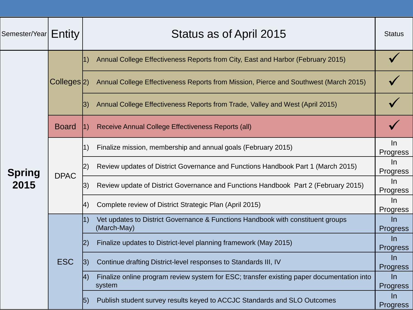| Semester/Year $\mid$ $\mathsf{Entity}$ |                         | Status as of April 2015                                                                                    | <b>Status</b>          |
|----------------------------------------|-------------------------|------------------------------------------------------------------------------------------------------------|------------------------|
| <b>Spring</b><br>2015                  | Colleges <sup>[2]</sup> | Annual College Effectiveness Reports from City, East and Harbor (February 2015)<br> 1)                     |                        |
|                                        |                         | Annual College Effectiveness Reports from Mission, Pierce and Southwest (March 2015)                       |                        |
|                                        |                         | Annual College Effectiveness Reports from Trade, Valley and West (April 2015)<br>3)                        |                        |
|                                        | <b>Board</b>            | Receive Annual College Effectiveness Reports (all)<br> 1)                                                  |                        |
|                                        | <b>DPAC</b>             | Finalize mission, membership and annual goals (February 2015)<br>1)                                        | $\ln$<br>Progress      |
|                                        |                         | Review updates of District Governance and Functions Handbook Part 1 (March 2015)<br>$\left 2\right\rangle$ | $\ln$<br>Progress      |
|                                        |                         | Review update of District Governance and Functions Handbook Part 2 (February 2015)<br>3)                   | $\ln$<br>Progress      |
|                                        |                         | Complete review of District Strategic Plan (April 2015)<br> 4)                                             | $\ln$<br>Progress      |
|                                        | <b>ESC</b>              | Vet updates to District Governance & Functions Handbook with constituent groups<br> 1)<br>(March-May)      | $\ln$<br>Progress      |
|                                        |                         | Finalize updates to District-level planning framework (May 2015)                                           | In<br><b>Progress</b>  |
|                                        |                         | Continue drafting District-level responses to Standards III, IV<br> 3)                                     | In.<br><b>Progress</b> |
|                                        |                         | Finalize online program review system for ESC; transfer existing paper documentation into<br> 4)<br>system | In<br><b>Progress</b>  |
|                                        |                         | Publish student survey results keyed to ACCJC Standards and SLO Outcomes<br> 5)                            | $\ln$<br>Progress      |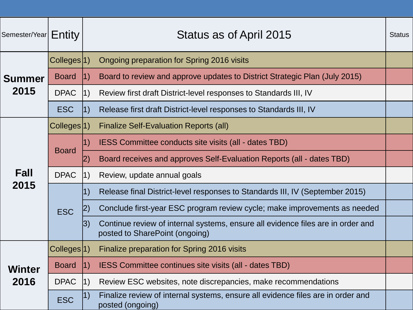| Semester/Year $\mid$ $\mathsf{Entity}$ |                         |             | Status as of April 2015                                                                                           | <b>Status</b> |
|----------------------------------------|-------------------------|-------------|-------------------------------------------------------------------------------------------------------------------|---------------|
| <b>Summer</b><br>2015                  | Colleges <sup>[1]</sup> |             | Ongoing preparation for Spring 2016 visits                                                                        |               |
|                                        | <b>Board</b>            | 1)          | Board to review and approve updates to District Strategic Plan (July 2015)                                        |               |
|                                        | <b>DPAC</b>             | $ 1\rangle$ | Review first draft District-level responses to Standards III, IV                                                  |               |
|                                        | <b>ESC</b>              | 1)          | Release first draft District-level responses to Standards III, IV                                                 |               |
| <b>Fall</b>                            | Colleges <sup>[1]</sup> |             | <b>Finalize Self-Evaluation Reports (all)</b>                                                                     |               |
|                                        | <b>Board</b>            | 1)          | IESS Committee conducts site visits (all - dates TBD)                                                             |               |
|                                        |                         | 2)          | Board receives and approves Self-Evaluation Reports (all - dates TBD)                                             |               |
|                                        | <b>DPAC</b>             | 1)          | Review, update annual goals                                                                                       |               |
| 2015                                   | <b>ESC</b>              | 1)          | Release final District-level responses to Standards III, IV (September 2015)                                      |               |
|                                        |                         | 2)          | Conclude first-year ESC program review cycle; make improvements as needed                                         |               |
|                                        |                         | 3)          | Continue review of internal systems, ensure all evidence files are in order and<br>posted to SharePoint (ongoing) |               |
| <b>Winter</b><br>2016                  | Colleges <sup>[1]</sup> |             | Finalize preparation for Spring 2016 visits                                                                       |               |
|                                        | <b>Board</b>            | 1)          | IESS Committee continues site visits (all - dates TBD)                                                            |               |
|                                        | <b>DPAC</b>             | $ 1\rangle$ | Review ESC websites, note discrepancies, make recommendations                                                     |               |
|                                        | <b>ESC</b>              | 1)          | Finalize review of internal systems, ensure all evidence files are in order and<br>posted (ongoing)               |               |